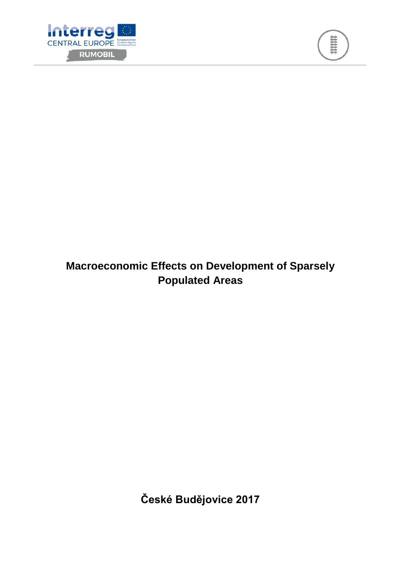



# **Macroeconomic Effects on Development of Sparsely Populated Areas**

**České Budějovice 2017**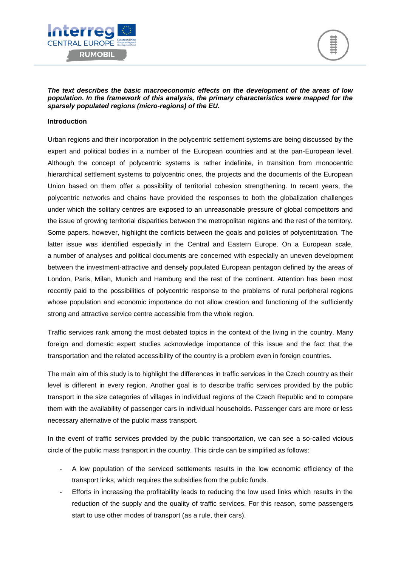



*The text describes the basic macroeconomic effects on the development of the areas of low population. In the framework of this analysis, the primary characteristics were mapped for the sparsely populated regions (micro-regions) of the EU.*

#### **Introduction**

Urban regions and their incorporation in the polycentric settlement systems are being discussed by the expert and political bodies in a number of the European countries and at the pan-European level. Although the concept of polycentric systems is rather indefinite, in transition from monocentric hierarchical settlement systems to polycentric ones, the projects and the documents of the European Union based on them offer a possibility of territorial cohesion strengthening. In recent years, the polycentric networks and chains have provided the responses to both the globalization challenges under which the solitary centres are exposed to an unreasonable pressure of global competitors and the issue of growing territorial disparities between the metropolitan regions and the rest of the territory. Some papers, however, highlight the conflicts between the goals and policies of polycentrization. The latter issue was identified especially in the Central and Eastern Europe. On a European scale, a number of analyses and political documents are concerned with especially an uneven development between the investment-attractive and densely populated European pentagon defined by the areas of London, Paris, Milan, Munich and Hamburg and the rest of the continent. Attention has been most recently paid to the possibilities of polycentric response to the problems of rural peripheral regions whose population and economic importance do not allow creation and functioning of the sufficiently strong and attractive service centre accessible from the whole region.

Traffic services rank among the most debated topics in the context of the living in the country. Many foreign and domestic expert studies acknowledge importance of this issue and the fact that the transportation and the related accessibility of the country is a problem even in foreign countries.

The main aim of this study is to highlight the differences in traffic services in the Czech country as their level is different in every region. Another goal is to describe traffic services provided by the public transport in the size categories of villages in individual regions of the Czech Republic and to compare them with the availability of passenger cars in individual households. Passenger cars are more or less necessary alternative of the public mass transport.

In the event of traffic services provided by the public transportation, we can see a so-called vicious circle of the public mass transport in the country. This circle can be simplified as follows:

- A low population of the serviced settlements results in the low economic efficiency of the transport links, which requires the subsidies from the public funds.
- Efforts in increasing the profitability leads to reducing the low used links which results in the reduction of the supply and the quality of traffic services. For this reason, some passengers start to use other modes of transport (as a rule, their cars).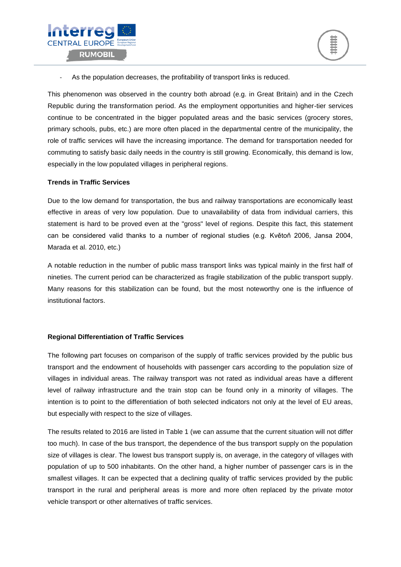



As the population decreases, the profitability of transport links is reduced.

This phenomenon was observed in the country both abroad (e.g. in Great Britain) and in the Czech Republic during the transformation period. As the employment opportunities and higher-tier services continue to be concentrated in the bigger populated areas and the basic services (grocery stores, primary schools, pubs, etc.) are more often placed in the departmental centre of the municipality, the role of traffic services will have the increasing importance. The demand for transportation needed for commuting to satisfy basic daily needs in the country is still growing. Economically, this demand is low, especially in the low populated villages in peripheral regions.

#### **Trends in Traffic Services**

Due to the low demand for transportation, the bus and railway transportations are economically least effective in areas of very low population. Due to unavailability of data from individual carriers, this statement is hard to be proved even at the "gross" level of regions. Despite this fact, this statement can be considered valid thanks to a number of regional studies (e.g. Květoň 2006, Jansa 2004, Marada et al. 2010, etc.)

A notable reduction in the number of public mass transport links was typical mainly in the first half of nineties. The current period can be characterized as fragile stabilization of the public transport supply. Many reasons for this stabilization can be found, but the most noteworthy one is the influence of institutional factors.

#### **Regional Differentiation of Traffic Services**

The following part focuses on comparison of the supply of traffic services provided by the public bus transport and the endowment of households with passenger cars according to the population size of villages in individual areas. The railway transport was not rated as individual areas have a different level of railway infrastructure and the train stop can be found only in a minority of villages. The intention is to point to the differentiation of both selected indicators not only at the level of EU areas, but especially with respect to the size of villages.

The results related to 2016 are listed in Table 1 (we can assume that the current situation will not differ too much). In case of the bus transport, the dependence of the bus transport supply on the population size of villages is clear. The lowest bus transport supply is, on average, in the category of villages with population of up to 500 inhabitants. On the other hand, a higher number of passenger cars is in the smallest villages. It can be expected that a declining quality of traffic services provided by the public transport in the rural and peripheral areas is more and more often replaced by the private motor vehicle transport or other alternatives of traffic services.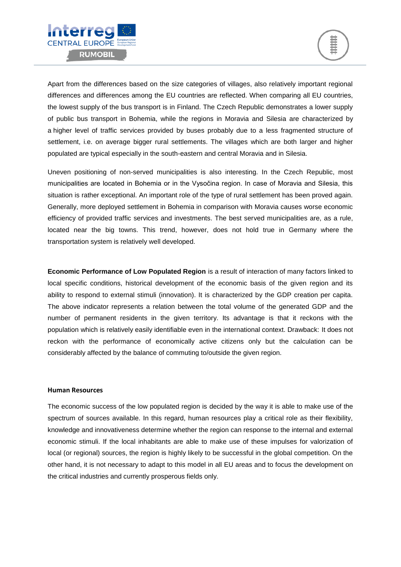



Apart from the differences based on the size categories of villages, also relatively important regional differences and differences among the EU countries are reflected. When comparing all EU countries, the lowest supply of the bus transport is in Finland. The Czech Republic demonstrates a lower supply of public bus transport in Bohemia, while the regions in Moravia and Silesia are characterized by a higher level of traffic services provided by buses probably due to a less fragmented structure of settlement, i.e. on average bigger rural settlements. The villages which are both larger and higher populated are typical especially in the south-eastern and central Moravia and in Silesia.

Uneven positioning of non-served municipalities is also interesting. In the Czech Republic, most municipalities are located in Bohemia or in the Vysočina region. In case of Moravia and Silesia, this situation is rather exceptional. An important role of the type of rural settlement has been proved again. Generally, more deployed settlement in Bohemia in comparison with Moravia causes worse economic efficiency of provided traffic services and investments. The best served municipalities are, as a rule, located near the big towns. This trend, however, does not hold true in Germany where the transportation system is relatively well developed.

**Economic Performance of Low Populated Region** is a result of interaction of many factors linked to local specific conditions, historical development of the economic basis of the given region and its ability to respond to external stimuli (innovation). It is characterized by the GDP creation per capita. The above indicator represents a relation between the total volume of the generated GDP and the number of permanent residents in the given territory. Its advantage is that it reckons with the population which is relatively easily identifiable even in the international context. Drawback: It does not reckon with the performance of economically active citizens only but the calculation can be considerably affected by the balance of commuting to/outside the given region.

#### **Human Resources**

The economic success of the low populated region is decided by the way it is able to make use of the spectrum of sources available. In this regard, human resources play a critical role as their flexibility, knowledge and innovativeness determine whether the region can response to the internal and external economic stimuli. If the local inhabitants are able to make use of these impulses for valorization of local (or regional) sources, the region is highly likely to be successful in the global competition. On the other hand, it is not necessary to adapt to this model in all EU areas and to focus the development on the critical industries and currently prosperous fields only.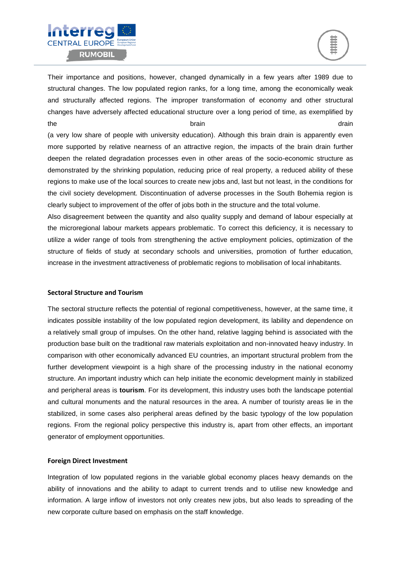



Their importance and positions, however, changed dynamically in a few years after 1989 due to structural changes. The low populated region ranks, for a long time, among the economically weak and structurally affected regions. The improper transformation of economy and other structural changes have adversely affected educational structure over a long period of time, as exemplified by the **the contract of the brain** drain brain drain drain drain drain drain drain drain drain drain drain drain drain

(a very low share of people with university education). Although this brain drain is apparently even more supported by relative nearness of an attractive region, the impacts of the brain drain further deepen the related degradation processes even in other areas of the socio-economic structure as demonstrated by the shrinking population, reducing price of real property, a reduced ability of these regions to make use of the local sources to create new jobs and, last but not least, in the conditions for the civil society development. Discontinuation of adverse processes in the South Bohemia region is clearly subject to improvement of the offer of jobs both in the structure and the total volume.

Also disagreement between the quantity and also quality supply and demand of labour especially at the microregional labour markets appears problematic. To correct this deficiency, it is necessary to utilize a wider range of tools from strengthening the active employment policies, optimization of the structure of fields of study at secondary schools and universities, promotion of further education, increase in the investment attractiveness of problematic regions to mobilisation of local inhabitants.

#### **Sectoral Structure and Tourism**

The sectoral structure reflects the potential of regional competitiveness, however, at the same time, it indicates possible instability of the low populated region development, its lability and dependence on a relatively small group of impulses. On the other hand, relative lagging behind is associated with the production base built on the traditional raw materials exploitation and non-innovated heavy industry. In comparison with other economically advanced EU countries, an important structural problem from the further development viewpoint is a high share of the processing industry in the national economy structure. An important industry which can help initiate the economic development mainly in stabilized and peripheral areas is **tourism**. For its development, this industry uses both the landscape potential and cultural monuments and the natural resources in the area. A number of touristy areas lie in the stabilized, in some cases also peripheral areas defined by the basic typology of the low population regions. From the regional policy perspective this industry is, apart from other effects, an important generator of employment opportunities.

#### **Foreign Direct Investment**

Integration of low populated regions in the variable global economy places heavy demands on the ability of innovations and the ability to adapt to current trends and to utilise new knowledge and information. A large inflow of investors not only creates new jobs, but also leads to spreading of the new corporate culture based on emphasis on the staff knowledge.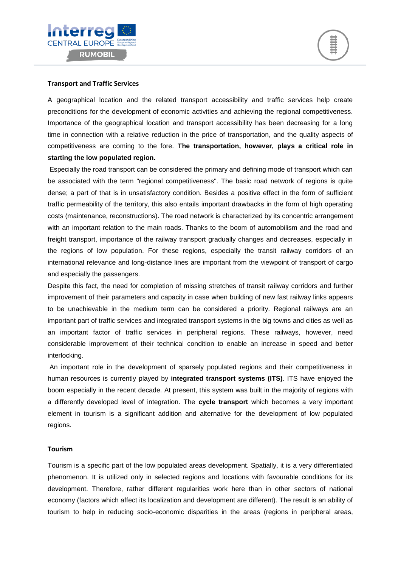



#### **Transport and Traffic Services**

A geographical location and the related transport accessibility and traffic services help create preconditions for the development of economic activities and achieving the regional competitiveness. Importance of the geographical location and transport accessibility has been decreasing for a long time in connection with a relative reduction in the price of transportation, and the quality aspects of competitiveness are coming to the fore. **The transportation, however, plays a critical role in starting the low populated region.**

Especially the road transport can be considered the primary and defining mode of transport which can be associated with the term "regional competitiveness". The basic road network of regions is quite dense; a part of that is in unsatisfactory condition. Besides a positive effect in the form of sufficient traffic permeability of the territory, this also entails important drawbacks in the form of high operating costs (maintenance, reconstructions). The road network is characterized by its concentric arrangement with an important relation to the main roads. Thanks to the boom of automobilism and the road and freight transport, importance of the railway transport gradually changes and decreases, especially in the regions of low population. For these regions, especially the transit railway corridors of an international relevance and long-distance lines are important from the viewpoint of transport of cargo and especially the passengers.

Despite this fact, the need for completion of missing stretches of transit railway corridors and further improvement of their parameters and capacity in case when building of new fast railway links appears to be unachievable in the medium term can be considered a priority. Regional railways are an important part of traffic services and integrated transport systems in the big towns and cities as well as an important factor of traffic services in peripheral regions. These railways, however, need considerable improvement of their technical condition to enable an increase in speed and better interlocking.

An important role in the development of sparsely populated regions and their competitiveness in human resources is currently played by **integrated transport systems (ITS)**. ITS have enjoyed the boom especially in the recent decade. At present, this system was built in the majority of regions with a differently developed level of integration. The **cycle transport** which becomes a very important element in tourism is a significant addition and alternative for the development of low populated regions.

#### **Tourism**

Tourism is a specific part of the low populated areas development. Spatially, it is a very differentiated phenomenon. It is utilized only in selected regions and locations with favourable conditions for its development. Therefore, rather different regularities work here than in other sectors of national economy (factors which affect its localization and development are different). The result is an ability of tourism to help in reducing socio-economic disparities in the areas (regions in peripheral areas,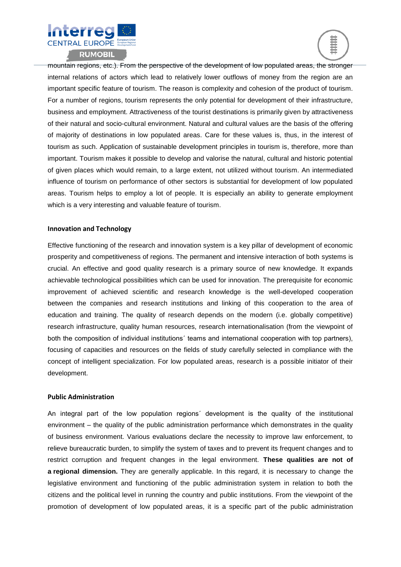



mountain regions, etc.). From the perspective of the development of low populated areas, the stronger internal relations of actors which lead to relatively lower outflows of money from the region are an important specific feature of tourism. The reason is complexity and cohesion of the product of tourism. For a number of regions, tourism represents the only potential for development of their infrastructure, business and employment. Attractiveness of the tourist destinations is primarily given by attractiveness of their natural and socio-cultural environment. Natural and cultural values are the basis of the offering of majority of destinations in low populated areas. Care for these values is, thus, in the interest of tourism as such. Application of sustainable development principles in tourism is, therefore, more than important. Tourism makes it possible to develop and valorise the natural, cultural and historic potential of given places which would remain, to a large extent, not utilized without tourism. An intermediated influence of tourism on performance of other sectors is substantial for development of low populated areas. Tourism helps to employ a lot of people. It is especially an ability to generate employment which is a very interesting and valuable feature of tourism.

#### **Innovation and Technology**

Effective functioning of the research and innovation system is a key pillar of development of economic prosperity and competitiveness of regions. The permanent and intensive interaction of both systems is crucial. An effective and good quality research is a primary source of new knowledge. It expands achievable technological possibilities which can be used for innovation. The prerequisite for economic improvement of achieved scientific and research knowledge is the well-developed cooperation between the companies and research institutions and linking of this cooperation to the area of education and training. The quality of research depends on the modern (i.e. globally competitive) research infrastructure, quality human resources, research internationalisation (from the viewpoint of both the composition of individual institutions´ teams and international cooperation with top partners), focusing of capacities and resources on the fields of study carefully selected in compliance with the concept of intelligent specialization. For low populated areas, research is a possible initiator of their development.

#### **Public Administration**

An integral part of the low population regions´ development is the quality of the institutional environment – the quality of the public administration performance which demonstrates in the quality of business environment. Various evaluations declare the necessity to improve law enforcement, to relieve bureaucratic burden, to simplify the system of taxes and to prevent its frequent changes and to restrict corruption and frequent changes in the legal environment. **These qualities are not of a regional dimension.** They are generally applicable. In this regard, it is necessary to change the legislative environment and functioning of the public administration system in relation to both the citizens and the political level in running the country and public institutions. From the viewpoint of the promotion of development of low populated areas, it is a specific part of the public administration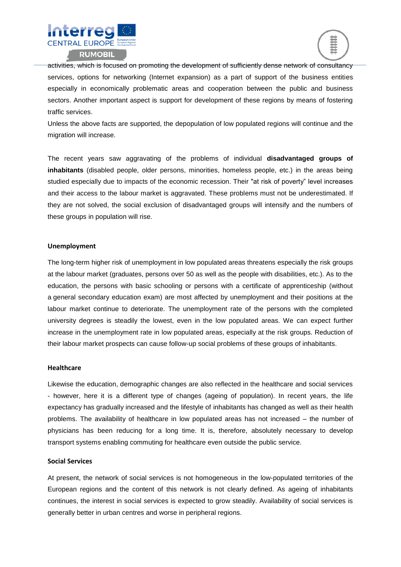



activities, which is focused on promoting the development of sufficiently dense network of consultancy services, options for networking (Internet expansion) as a part of support of the business entities especially in economically problematic areas and cooperation between the public and business sectors. Another important aspect is support for development of these regions by means of fostering traffic services.

Unless the above facts are supported, the depopulation of low populated regions will continue and the migration will increase.

The recent years saw aggravating of the problems of individual **disadvantaged groups of inhabitants** (disabled people, older persons, minorities, homeless people, etc.) in the areas being studied especially due to impacts of the economic recession. Their "at risk of poverty" level increases and their access to the labour market is aggravated. These problems must not be underestimated. If they are not solved, the social exclusion of disadvantaged groups will intensify and the numbers of these groups in population will rise.

#### **Unemployment**

The long-term higher risk of unemployment in low populated areas threatens especially the risk groups at the labour market (graduates, persons over 50 as well as the people with disabilities, etc.). As to the education, the persons with basic schooling or persons with a certificate of apprenticeship (without a general secondary education exam) are most affected by unemployment and their positions at the labour market continue to deteriorate. The unemployment rate of the persons with the completed university degrees is steadily the lowest, even in the low populated areas. We can expect further increase in the unemployment rate in low populated areas, especially at the risk groups. Reduction of their labour market prospects can cause follow-up social problems of these groups of inhabitants.

#### **Healthcare**

Likewise the education, demographic changes are also reflected in the healthcare and social services - however, here it is a different type of changes (ageing of population). In recent years, the life expectancy has gradually increased and the lifestyle of inhabitants has changed as well as their health problems. The availability of healthcare in low populated areas has not increased – the number of physicians has been reducing for a long time. It is, therefore, absolutely necessary to develop transport systems enabling commuting for healthcare even outside the public service.

#### **Social Services**

At present, the network of social services is not homogeneous in the low-populated territories of the European regions and the content of this network is not clearly defined. As ageing of inhabitants continues, the interest in social services is expected to grow steadily. Availability of social services is generally better in urban centres and worse in peripheral regions.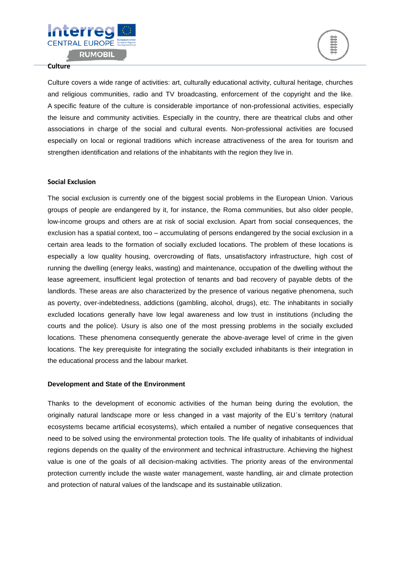



#### **Culture**

Culture covers a wide range of activities: art, culturally educational activity, cultural heritage, churches and religious communities, radio and TV broadcasting, enforcement of the copyright and the like. A specific feature of the culture is considerable importance of non-professional activities, especially the leisure and community activities. Especially in the country, there are theatrical clubs and other associations in charge of the social and cultural events. Non-professional activities are focused especially on local or regional traditions which increase attractiveness of the area for tourism and strengthen identification and relations of the inhabitants with the region they live in.

#### **Social Exclusion**

The social exclusion is currently one of the biggest social problems in the European Union. Various groups of people are endangered by it, for instance, the Roma communities, but also older people, low-income groups and others are at risk of social exclusion. Apart from social consequences, the exclusion has a spatial context, too – accumulating of persons endangered by the social exclusion in a certain area leads to the formation of socially excluded locations. The problem of these locations is especially a low quality housing, overcrowding of flats, unsatisfactory infrastructure, high cost of running the dwelling (energy leaks, wasting) and maintenance, occupation of the dwelling without the lease agreement, insufficient legal protection of tenants and bad recovery of payable debts of the landlords. These areas are also characterized by the presence of various negative phenomena, such as poverty, over-indebtedness, addictions (gambling, alcohol, drugs), etc. The inhabitants in socially excluded locations generally have low legal awareness and low trust in institutions (including the courts and the police). Usury is also one of the most pressing problems in the socially excluded locations. These phenomena consequently generate the above-average level of crime in the given locations. The key prerequisite for integrating the socially excluded inhabitants is their integration in the educational process and the labour market.

#### **Development and State of the Environment**

Thanks to the development of economic activities of the human being during the evolution, the originally natural landscape more or less changed in a vast majority of the EU´s territory (natural ecosystems became artificial ecosystems), which entailed a number of negative consequences that need to be solved using the environmental protection tools. The life quality of inhabitants of individual regions depends on the quality of the environment and technical infrastructure. Achieving the highest value is one of the goals of all decision-making activities. The priority areas of the environmental protection currently include the waste water management, waste handling, air and climate protection and protection of natural values of the landscape and its sustainable utilization.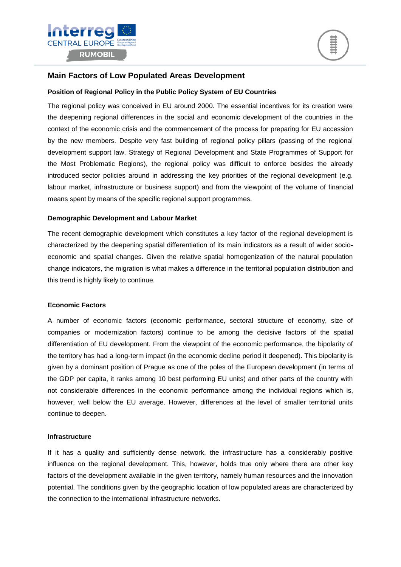



### **Main Factors of Low Populated Areas Development**

#### **Position of Regional Policy in the Public Policy System of EU Countries**

The regional policy was conceived in EU around 2000. The essential incentives for its creation were the deepening regional differences in the social and economic development of the countries in the context of the economic crisis and the commencement of the process for preparing for EU accession by the new members. Despite very fast building of regional policy pillars (passing of the regional development support law, Strategy of Regional Development and State Programmes of Support for the Most Problematic Regions), the regional policy was difficult to enforce besides the already introduced sector policies around in addressing the key priorities of the regional development (e.g. labour market, infrastructure or business support) and from the viewpoint of the volume of financial means spent by means of the specific regional support programmes.

#### **Demographic Development and Labour Market**

The recent demographic development which constitutes a key factor of the regional development is characterized by the deepening spatial differentiation of its main indicators as a result of wider socioeconomic and spatial changes. Given the relative spatial homogenization of the natural population change indicators, the migration is what makes a difference in the territorial population distribution and this trend is highly likely to continue.

#### **Economic Factors**

A number of economic factors (economic performance, sectoral structure of economy, size of companies or modernization factors) continue to be among the decisive factors of the spatial differentiation of EU development. From the viewpoint of the economic performance, the bipolarity of the territory has had a long-term impact (in the economic decline period it deepened). This bipolarity is given by a dominant position of Prague as one of the poles of the European development (in terms of the GDP per capita, it ranks among 10 best performing EU units) and other parts of the country with not considerable differences in the economic performance among the individual regions which is, however, well below the EU average. However, differences at the level of smaller territorial units continue to deepen.

#### **Infrastructure**

If it has a quality and sufficiently dense network, the infrastructure has a considerably positive influence on the regional development. This, however, holds true only where there are other key factors of the development available in the given territory, namely human resources and the innovation potential. The conditions given by the geographic location of low populated areas are characterized by the connection to the international infrastructure networks.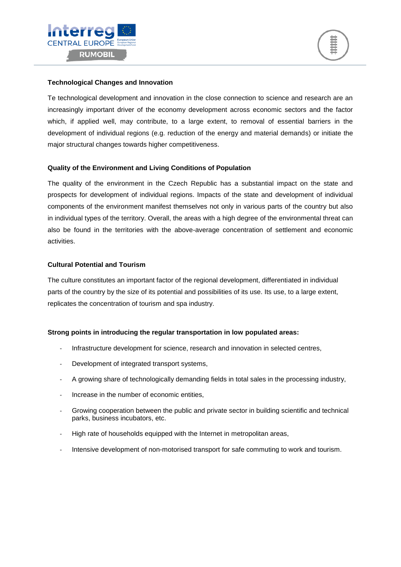



#### **Technological Changes and Innovation**

Te technological development and innovation in the close connection to science and research are an increasingly important driver of the economy development across economic sectors and the factor which, if applied well, may contribute, to a large extent, to removal of essential barriers in the development of individual regions (e.g. reduction of the energy and material demands) or initiate the major structural changes towards higher competitiveness.

#### **Quality of the Environment and Living Conditions of Population**

The quality of the environment in the Czech Republic has a substantial impact on the state and prospects for development of individual regions. Impacts of the state and development of individual components of the environment manifest themselves not only in various parts of the country but also in individual types of the territory. Overall, the areas with a high degree of the environmental threat can also be found in the territories with the above-average concentration of settlement and economic activities.

#### **Cultural Potential and Tourism**

The culture constitutes an important factor of the regional development, differentiated in individual parts of the country by the size of its potential and possibilities of its use. Its use, to a large extent, replicates the concentration of tourism and spa industry.

#### **Strong points in introducing the regular transportation in low populated areas:**

- Infrastructure development for science, research and innovation in selected centres,
- Development of integrated transport systems,
- A growing share of technologically demanding fields in total sales in the processing industry,
- Increase in the number of economic entities.
- Growing cooperation between the public and private sector in building scientific and technical parks, business incubators, etc.
- High rate of households equipped with the Internet in metropolitan areas,
- Intensive development of non-motorised transport for safe commuting to work and tourism.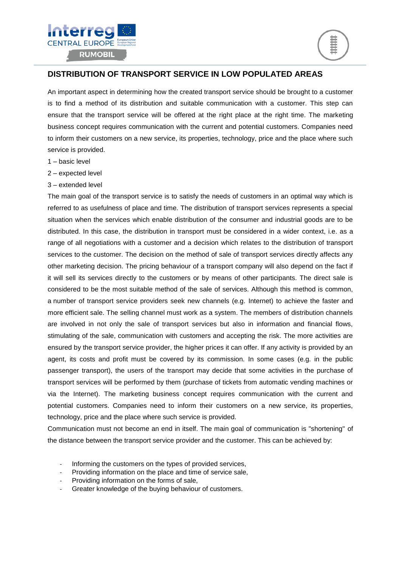



## **DISTRIBUTION OF TRANSPORT SERVICE IN LOW POPULATED AREAS**

An important aspect in determining how the created transport service should be brought to a customer is to find a method of its distribution and suitable communication with a customer. This step can ensure that the transport service will be offered at the right place at the right time. The marketing business concept requires communication with the current and potential customers. Companies need to inform their customers on a new service, its properties, technology, price and the place where such service is provided.

- 1 basic level
- 2 expected level
- 3 extended level

The main goal of the transport service is to satisfy the needs of customers in an optimal way which is referred to as usefulness of place and time. The distribution of transport services represents a special situation when the services which enable distribution of the consumer and industrial goods are to be distributed. In this case, the distribution in transport must be considered in a wider context, i.e. as a range of all negotiations with a customer and a decision which relates to the distribution of transport services to the customer. The decision on the method of sale of transport services directly affects any other marketing decision. The pricing behaviour of a transport company will also depend on the fact if it will sell its services directly to the customers or by means of other participants. The direct sale is considered to be the most suitable method of the sale of services. Although this method is common, a number of transport service providers seek new channels (e.g. Internet) to achieve the faster and more efficient sale. The selling channel must work as a system. The members of distribution channels are involved in not only the sale of transport services but also in information and financial flows, stimulating of the sale, communication with customers and accepting the risk. The more activities are ensured by the transport service provider, the higher prices it can offer. If any activity is provided by an agent, its costs and profit must be covered by its commission. In some cases (e.g. in the public passenger transport), the users of the transport may decide that some activities in the purchase of transport services will be performed by them (purchase of tickets from automatic vending machines or via the Internet). The marketing business concept requires communication with the current and potential customers. Companies need to inform their customers on a new service, its properties, technology, price and the place where such service is provided.

Communication must not become an end in itself. The main goal of communication is "shortening" of the distance between the transport service provider and the customer. This can be achieved by:

- Informing the customers on the types of provided services,
- Providing information on the place and time of service sale,
- Providing information on the forms of sale,
- Greater knowledge of the buying behaviour of customers.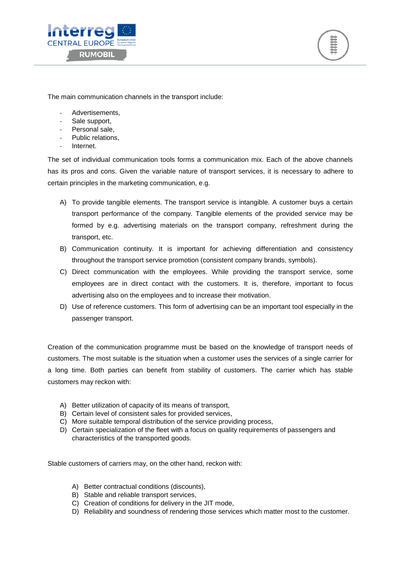



The main communication channels in the transport include:

- Advertisements,
- Sale support.
- Personal sale,
- Public relations.
- **Internet**

The set of individual communication tools forms a communication mix. Each of the above channels has its pros and cons. Given the variable nature of transport services, it is necessary to adhere to certain principles in the marketing communication, e.g.

- A) To provide tangible elements. The transport service is intangible. A customer buys a certain transport performance of the company. Tangible elements of the provided service may be formed by e.g. advertising materials on the transport company, refreshment during the transport, etc.
- B) Communication continuity. It is important for achieving differentiation and consistency throughout the transport service promotion (consistent company brands, symbols).
- C) Direct communication with the employees. While providing the transport service, some employees are in direct contact with the customers. It is, therefore, important to focus advertising also on the employees and to increase their motivation.
- D) Use of reference customers. This form of advertising can be an important tool especially in the passenger transport.

Creation of the communication programme must be based on the knowledge of transport needs of customers. The most suitable is the situation when a customer uses the services of a single carrier for a long time. Both parties can benefit from stability of customers. The carrier which has stable customers may reckon with:

- A) Better utilization of capacity of its means of transport,
- B) Certain level of consistent sales for provided services,
- C) More suitable temporal distribution of the service providing process,
- D) Certain specialization of the fleet with a focus on quality requirements of passengers and characteristics of the transported goods.

Stable customers of carriers may, on the other hand, reckon with:

- A) Better contractual conditions (discounts),
- B) Stable and reliable transport services,
- C) Creation of conditions for delivery in the JIT mode,
- D) Reliability and soundness of rendering those services which matter most to the customer.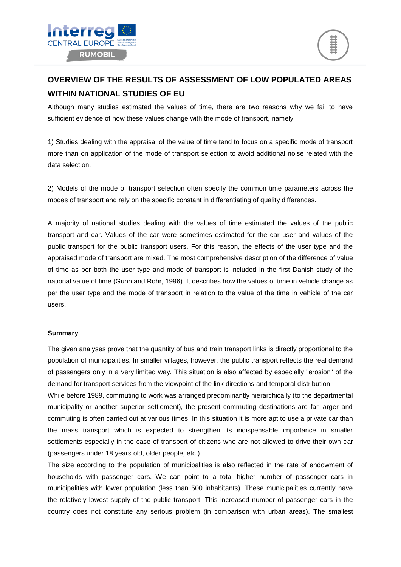

## **OVERVIEW OF THE RESULTS OF ASSESSMENT OF LOW POPULATED AREAS WITHIN NATIONAL STUDIES OF EU**

Although many studies estimated the values of time, there are two reasons why we fail to have sufficient evidence of how these values change with the mode of transport, namely

1) Studies dealing with the appraisal of the value of time tend to focus on a specific mode of transport more than on application of the mode of transport selection to avoid additional noise related with the data selection,

2) Models of the mode of transport selection often specify the common time parameters across the modes of transport and rely on the specific constant in differentiating of quality differences.

A majority of national studies dealing with the values of time estimated the values of the public transport and car. Values of the car were sometimes estimated for the car user and values of the public transport for the public transport users. For this reason, the effects of the user type and the appraised mode of transport are mixed. The most comprehensive description of the difference of value of time as per both the user type and mode of transport is included in the first Danish study of the national value of time (Gunn and Rohr, 1996). It describes how the values of time in vehicle change as per the user type and the mode of transport in relation to the value of the time in vehicle of the car users.

#### **Summary**

The given analyses prove that the quantity of bus and train transport links is directly proportional to the population of municipalities. In smaller villages, however, the public transport reflects the real demand of passengers only in a very limited way. This situation is also affected by especially "erosion" of the demand for transport services from the viewpoint of the link directions and temporal distribution.

While before 1989, commuting to work was arranged predominantly hierarchically (to the departmental municipality or another superior settlement), the present commuting destinations are far larger and commuting is often carried out at various times. In this situation it is more apt to use a private car than the mass transport which is expected to strengthen its indispensable importance in smaller settlements especially in the case of transport of citizens who are not allowed to drive their own car (passengers under 18 years old, older people, etc.).

The size according to the population of municipalities is also reflected in the rate of endowment of households with passenger cars. We can point to a total higher number of passenger cars in municipalities with lower population (less than 500 inhabitants). These municipalities currently have the relatively lowest supply of the public transport. This increased number of passenger cars in the country does not constitute any serious problem (in comparison with urban areas). The smallest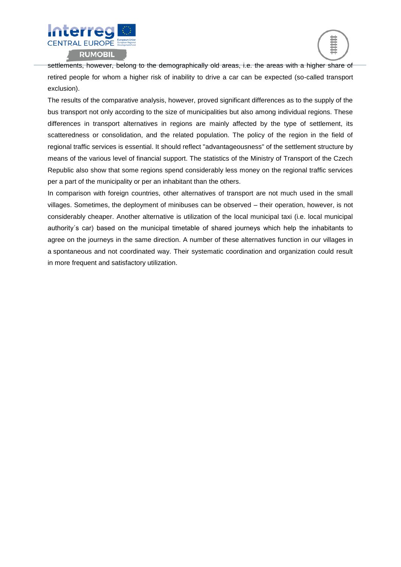



settlements, however, belong to the demographically old areas, i.e. the areas with a higher share of retired people for whom a higher risk of inability to drive a car can be expected (so-called transport exclusion).

The results of the comparative analysis, however, proved significant differences as to the supply of the bus transport not only according to the size of municipalities but also among individual regions. These differences in transport alternatives in regions are mainly affected by the type of settlement, its scatteredness or consolidation, and the related population. The policy of the region in the field of regional traffic services is essential. It should reflect "advantageousness" of the settlement structure by means of the various level of financial support. The statistics of the Ministry of Transport of the Czech Republic also show that some regions spend considerably less money on the regional traffic services per a part of the municipality or per an inhabitant than the others.

In comparison with foreign countries, other alternatives of transport are not much used in the small villages. Sometimes, the deployment of minibuses can be observed – their operation, however, is not considerably cheaper. Another alternative is utilization of the local municipal taxi (i.e. local municipal authority´s car) based on the municipal timetable of shared journeys which help the inhabitants to agree on the journeys in the same direction. A number of these alternatives function in our villages in a spontaneous and not coordinated way. Their systematic coordination and organization could result in more frequent and satisfactory utilization.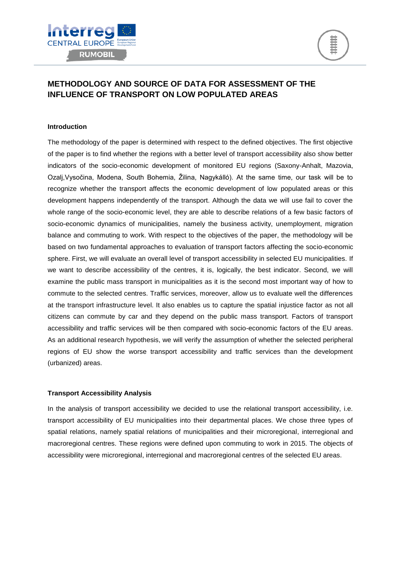



## **METHODOLOGY AND SOURCE OF DATA FOR ASSESSMENT OF THE INFLUENCE OF TRANSPORT ON LOW POPULATED AREAS**

#### **Introduction**

The methodology of the paper is determined with respect to the defined objectives. The first objective of the paper is to find whether the regions with a better level of transport accessibility also show better indicators of the socio-economic development of monitored EU regions (Saxony-Anhalt, Mazovia, Ozalj,Vysočina, Modena, South Bohemia, Žilina, Nagykálló). At the same time, our task will be to recognize whether the transport affects the economic development of low populated areas or this development happens independently of the transport. Although the data we will use fail to cover the whole range of the socio-economic level, they are able to describe relations of a few basic factors of socio-economic dynamics of municipalities, namely the business activity, unemployment, migration balance and commuting to work. With respect to the objectives of the paper, the methodology will be based on two fundamental approaches to evaluation of transport factors affecting the socio-economic sphere. First, we will evaluate an overall level of transport accessibility in selected EU municipalities. If we want to describe accessibility of the centres, it is, logically, the best indicator. Second, we will examine the public mass transport in municipalities as it is the second most important way of how to commute to the selected centres. Traffic services, moreover, allow us to evaluate well the differences at the transport infrastructure level. It also enables us to capture the spatial injustice factor as not all citizens can commute by car and they depend on the public mass transport. Factors of transport accessibility and traffic services will be then compared with socio-economic factors of the EU areas. As an additional research hypothesis, we will verify the assumption of whether the selected peripheral regions of EU show the worse transport accessibility and traffic services than the development (urbanized) areas.

#### **Transport Accessibility Analysis**

In the analysis of transport accessibility we decided to use the relational transport accessibility, i.e. transport accessibility of EU municipalities into their departmental places. We chose three types of spatial relations, namely spatial relations of municipalities and their microregional, interregional and macroregional centres. These regions were defined upon commuting to work in 2015. The objects of accessibility were microregional, interregional and macroregional centres of the selected EU areas.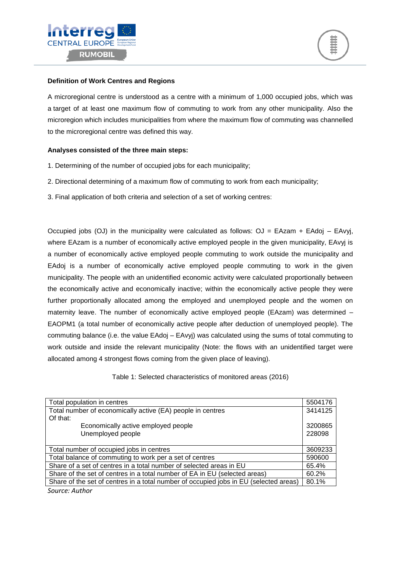



#### **Definition of Work Centres and Regions**

A microregional centre is understood as a centre with a minimum of 1,000 occupied jobs, which was a target of at least one maximum flow of commuting to work from any other municipality. Also the microregion which includes municipalities from where the maximum flow of commuting was channelled to the microregional centre was defined this way.

#### **Analyses consisted of the three main steps:**

- 1. Determining of the number of occupied jobs for each municipality;
- 2. Directional determining of a maximum flow of commuting to work from each municipality;
- 3. Final application of both criteria and selection of a set of working centres:

Occupied jobs (OJ) in the municipality were calculated as follows:  $OJ = EAzam + EAdoj - EAvyi$ , where EAzam is a number of economically active employed people in the given municipality, EAvyj is a number of economically active employed people commuting to work outside the municipality and EAdoj is a number of economically active employed people commuting to work in the given municipality. The people with an unidentified economic activity were calculated proportionally between the economically active and economically inactive; within the economically active people they were further proportionally allocated among the employed and unemployed people and the women on maternity leave. The number of economically active employed people (EAzam) was determined – EAOPM1 (a total number of economically active people after deduction of unemployed people). The commuting balance (i.e. the value EAdoj – EAvyj) was calculated using the sums of total commuting to work outside and inside the relevant municipality (Note: the flows with an unidentified target were allocated among 4 strongest flows coming from the given place of leaving).

Table 1: Selected characteristics of monitored areas (2016)

| Total population in centres                                                           | 5504176 |  |  |  |  |
|---------------------------------------------------------------------------------------|---------|--|--|--|--|
| Total number of economically active (EA) people in centres                            | 3414125 |  |  |  |  |
| Of that:                                                                              |         |  |  |  |  |
| Economically active employed people                                                   | 3200865 |  |  |  |  |
| Unemployed people                                                                     |         |  |  |  |  |
|                                                                                       |         |  |  |  |  |
| Total number of occupied jobs in centres                                              | 3609233 |  |  |  |  |
| Total balance of commuting to work per a set of centres                               |         |  |  |  |  |
| Share of a set of centres in a total number of selected areas in EU                   | 65.4%   |  |  |  |  |
| Share of the set of centres in a total number of EA in EU (selected areas)            | 60.2%   |  |  |  |  |
| Share of the set of centres in a total number of occupied jobs in EU (selected areas) | 80.1%   |  |  |  |  |
| Source: Author                                                                        |         |  |  |  |  |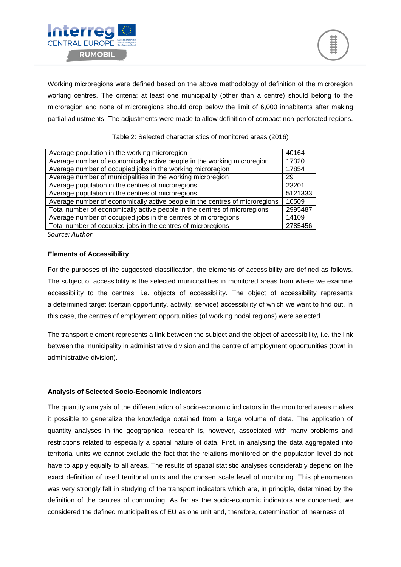

Working microregions were defined based on the above methodology of definition of the microregion working centres. The criteria: at least one municipality (other than a centre) should belong to the microregion and none of microregions should drop below the limit of 6,000 inhabitants after making partial adjustments. The adjustments were made to allow definition of compact non-perforated regions.

| Average population in the working microregion                               | 40164   |
|-----------------------------------------------------------------------------|---------|
| Average number of economically active people in the working microregion     | 17320   |
| Average number of occupied jobs in the working microregion                  | 17854   |
| Average number of municipalities in the working microregion                 | 29      |
| Average population in the centres of microregions                           | 23201   |
| Average population in the centres of microregions                           | 5121333 |
| Average number of economically active people in the centres of microregions | 10509   |
| Total number of economically active people in the centres of microregions   | 2995487 |
| Average number of occupied jobs in the centres of microregions              | 14109   |
| Total number of occupied jobs in the centres of microregions                | 2785456 |
| $C_{\text{max}}$                                                            |         |

Table 2: Selected characteristics of monitored areas (2016)

*Source: Author*

#### **Elements of Accessibility**

For the purposes of the suggested classification, the elements of accessibility are defined as follows. The subject of accessibility is the selected municipalities in monitored areas from where we examine accessibility to the centres, i.e. objects of accessibility. The object of accessibility represents a determined target (certain opportunity, activity, service) accessibility of which we want to find out. In this case, the centres of employment opportunities (of working nodal regions) were selected.

The transport element represents a link between the subject and the object of accessibility, i.e. the link between the municipality in administrative division and the centre of employment opportunities (town in administrative division).

#### **Analysis of Selected Socio-Economic Indicators**

The quantity analysis of the differentiation of socio-economic indicators in the monitored areas makes it possible to generalize the knowledge obtained from a large volume of data. The application of quantity analyses in the geographical research is, however, associated with many problems and restrictions related to especially a spatial nature of data. First, in analysing the data aggregated into territorial units we cannot exclude the fact that the relations monitored on the population level do not have to apply equally to all areas. The results of spatial statistic analyses considerably depend on the exact definition of used territorial units and the chosen scale level of monitoring. This phenomenon was very strongly felt in studying of the transport indicators which are, in principle, determined by the definition of the centres of commuting. As far as the socio-economic indicators are concerned, we considered the defined municipalities of EU as one unit and, therefore, determination of nearness of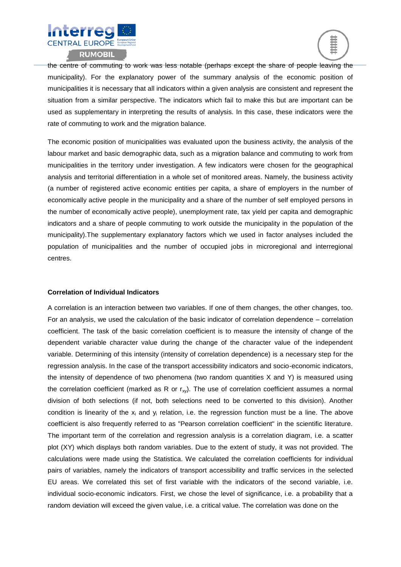



the centre of commuting to work was less notable (perhaps except the share of people leaving the municipality). For the explanatory power of the summary analysis of the economic position of municipalities it is necessary that all indicators within a given analysis are consistent and represent the situation from a similar perspective. The indicators which fail to make this but are important can be used as supplementary in interpreting the results of analysis. In this case, these indicators were the rate of commuting to work and the migration balance.

The economic position of municipalities was evaluated upon the business activity, the analysis of the labour market and basic demographic data, such as a migration balance and commuting to work from municipalities in the territory under investigation. A few indicators were chosen for the geographical analysis and territorial differentiation in a whole set of monitored areas. Namely, the business activity (a number of registered active economic entities per capita, a share of employers in the number of economically active people in the municipality and a share of the number of self employed persons in the number of economically active people), unemployment rate, tax yield per capita and demographic indicators and a share of people commuting to work outside the municipality in the population of the municipality).The supplementary explanatory factors which we used in factor analyses included the population of municipalities and the number of occupied jobs in microregional and interregional centres.

#### **Correlation of Individual Indicators**

A correlation is an interaction between two variables. If one of them changes, the other changes, too. For an analysis, we used the calculation of the basic indicator of correlation dependence – correlation coefficient. The task of the basic correlation coefficient is to measure the intensity of change of the dependent variable character value during the change of the character value of the independent variable. Determining of this intensity (intensity of correlation dependence) is a necessary step for the regression analysis. In the case of the transport accessibility indicators and socio-economic indicators, the intensity of dependence of two phenomena (two random quantities X and Y) is measured using the correlation coefficient (marked as R or  $r_{xy}$ ). The use of correlation coefficient assumes a normal division of both selections (if not, both selections need to be converted to this division). Another condition is linearity of the  $x_i$  and  $y_i$  relation, i.e. the regression function must be a line. The above coefficient is also frequently referred to as "Pearson correlation coefficient" in the scientific literature. The important term of the correlation and regression analysis is a correlation diagram, i.e. a scatter plot (XY) which displays both random variables. Due to the extent of study, it was not provided. The calculations were made using the Statistica. We calculated the correlation coefficients for individual pairs of variables, namely the indicators of transport accessibility and traffic services in the selected EU areas. We correlated this set of first variable with the indicators of the second variable, i.e. individual socio-economic indicators. First, we chose the level of significance, i.e. a probability that a random deviation will exceed the given value, i.e. a critical value. The correlation was done on the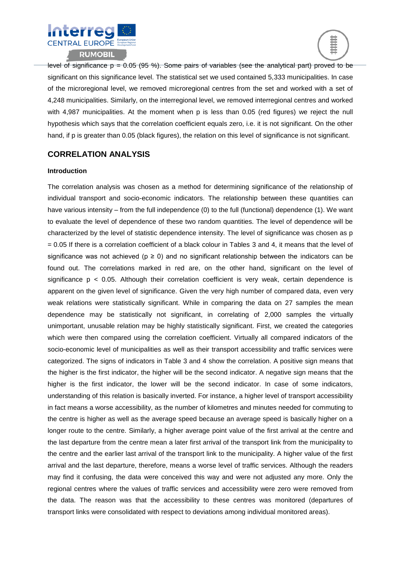



level of significance  $p = 0.05$  (95 %). Some pairs of variables (see the analytical part) proved to be significant on this significance level. The statistical set we used contained 5,333 municipalities. In case of the microregional level, we removed microregional centres from the set and worked with a set of 4,248 municipalities. Similarly, on the interregional level, we removed interregional centres and worked with 4,987 municipalities. At the moment when p is less than 0.05 (red figures) we reject the null hypothesis which says that the correlation coefficient equals zero, i.e. it is not significant. On the other hand, if p is greater than 0.05 (black figures), the relation on this level of significance is not significant.

## **CORRELATION ANALYSIS**

#### **Introduction**

The correlation analysis was chosen as a method for determining significance of the relationship of individual transport and socio-economic indicators. The relationship between these quantities can have various intensity – from the full independence (0) to the full (functional) dependence (1). We want to evaluate the level of dependence of these two random quantities. The level of dependence will be characterized by the level of statistic dependence intensity. The level of significance was chosen as p = 0.05 If there is a correlation coefficient of a black colour in Tables 3 and 4, it means that the level of significance was not achieved ( $p \ge 0$ ) and no significant relationship between the indicators can be found out. The correlations marked in red are, on the other hand, significant on the level of significance  $p \leq 0.05$ . Although their correlation coefficient is very weak, certain dependence is apparent on the given level of significance. Given the very high number of compared data, even very weak relations were statistically significant. While in comparing the data on 27 samples the mean dependence may be statistically not significant, in correlating of 2,000 samples the virtually unimportant, unusable relation may be highly statistically significant. First, we created the categories which were then compared using the correlation coefficient. Virtually all compared indicators of the socio-economic level of municipalities as well as their transport accessibility and traffic services were categorized. The signs of indicators in Table 3 and 4 show the correlation. A positive sign means that the higher is the first indicator, the higher will be the second indicator. A negative sign means that the higher is the first indicator, the lower will be the second indicator. In case of some indicators, understanding of this relation is basically inverted. For instance, a higher level of transport accessibility in fact means a worse accessibility, as the number of kilometres and minutes needed for commuting to the centre is higher as well as the average speed because an average speed is basically higher on a longer route to the centre. Similarly, a higher average point value of the first arrival at the centre and the last departure from the centre mean a later first arrival of the transport link from the municipality to the centre and the earlier last arrival of the transport link to the municipality. A higher value of the first arrival and the last departure, therefore, means a worse level of traffic services. Although the readers may find it confusing, the data were conceived this way and were not adjusted any more. Only the regional centres where the values of traffic services and accessibility were zero were removed from the data. The reason was that the accessibility to these centres was monitored (departures of transport links were consolidated with respect to deviations among individual monitored areas).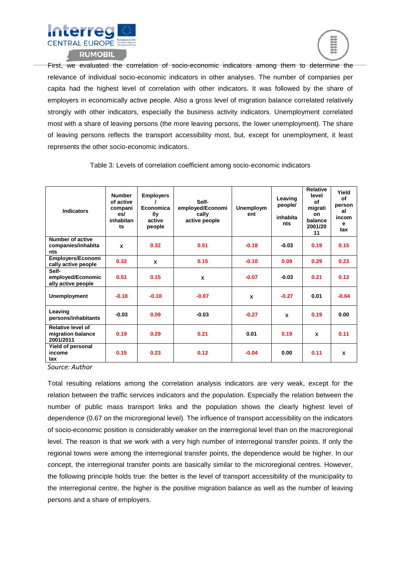



First, we evaluated the correlation of socio-economic indicators among them to determine the relevance of individual socio-economic indicators in other analyses. The number of companies per capita had the highest level of correlation with other indicators. It was followed by the share of employers in economically active people. Also a gross level of migration balance correlated relatively strongly with other indicators, especially the business activity indicators. Unemployment correlated most with a share of leaving persons (the more leaving persons, the lower unemployment). The share of leaving persons reflects the transport accessibility most, but, except for unemployment, it least represents the other socio-economic indicators.

| <b>Indicators</b>                                          | <b>Number</b><br>of active<br>compani<br>es/<br>inhabitan<br>ts | <b>Employers</b><br>Economica<br>lly<br>active<br>people | Self-<br>employed/Economi<br>cally<br>active people | <b>Unemploym</b><br>ent | Leaving<br>people/<br>inhabita<br>nts | <b>Relative</b><br>level<br>οf<br>migrati<br><b>on</b><br>balance<br>2001/20<br>11 | Yield<br>Οf<br>person<br>al<br>incom<br>e<br>tax |
|------------------------------------------------------------|-----------------------------------------------------------------|----------------------------------------------------------|-----------------------------------------------------|-------------------------|---------------------------------------|------------------------------------------------------------------------------------|--------------------------------------------------|
| <b>Number of active</b><br>companies/inhabita<br>nts       | X                                                               | 0.32                                                     | 0.51                                                | $-0.18$                 | $-0.03$                               | 0.19                                                                               | 0.15                                             |
| Employers/Economi<br>cally active people                   | 0.32                                                            | X                                                        | 0.15                                                | $-0.10$                 | 0.09                                  | 0.29                                                                               | 0.23                                             |
| Self-<br>employed/Economic<br>ally active people           | 0.51                                                            | 0.15                                                     | X                                                   | $-0.07$                 | $-0.03$                               | 0.21                                                                               | 0.12                                             |
| <b>Unemployment</b>                                        | $-0.18$                                                         | $-0.10$                                                  | $-0.07$                                             | X                       | $-0.27$                               | 0.01                                                                               | $-0.04$                                          |
| Leaving<br>persons/inhabitants                             | $-0.03$                                                         | 0.09                                                     | $-0.03$                                             | $-0.27$                 | X                                     | 0.19                                                                               | 0.00                                             |
| <b>Relative level of</b><br>migration balance<br>2001/2011 | 0.19                                                            | 0.29                                                     | 0.21                                                | 0.01                    | 0.19                                  | x                                                                                  | 0.11                                             |
| Yield of personal<br>income<br>tax                         | 0.15                                                            | 0.23                                                     | 0.12                                                | $-0.04$                 | 0.00                                  | 0.11                                                                               | X                                                |

Table 3: Levels of correlation coefficient among socio-economic indicators

*Source: Author*

Total resulting relations among the correlation analysis indicators are very weak, except for the relation between the traffic services indicators and the population. Especially the relation between the number of public mass transport links and the population shows the clearly highest level of dependence (0.67 on the microregional level). The influence of transport accessibility on the indicators of socio-economic position is considerably weaker on the interregional level than on the macroregional level. The reason is that we work with a very high number of interregional transfer points. If only the regional towns were among the interregional transfer points, the dependence would be higher. In our concept, the interregional transfer points are basically similar to the microregional centres. However, the following principle holds true: the better is the level of transport accessibility of the municipality to the interregional centre, the higher is the positive migration balance as well as the number of leaving persons and a share of employers.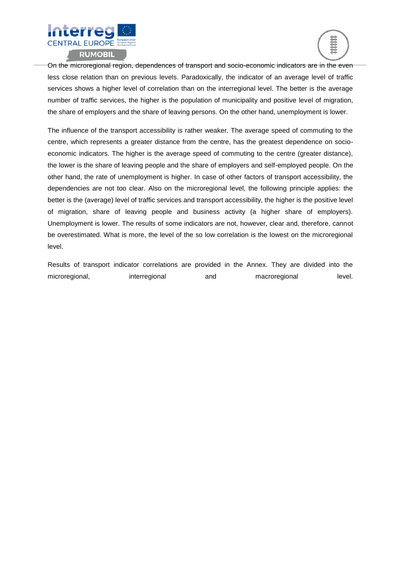



On the microregional region, dependences of transport and socio-economic indicators are in the even less close relation than on previous levels. Paradoxically, the indicator of an average level of traffic services shows a higher level of correlation than on the interregional level. The better is the average number of traffic services, the higher is the population of municipality and positive level of migration, the share of employers and the share of leaving persons. On the other hand, unemployment is lower.

The influence of the transport accessibility is rather weaker. The average speed of commuting to the centre, which represents a greater distance from the centre, has the greatest dependence on socioeconomic indicators. The higher is the average speed of commuting to the centre (greater distance), the lower is the share of leaving people and the share of employers and self-employed people. On the other hand, the rate of unemployment is higher. In case of other factors of transport accessibility, the dependencies are not too clear. Also on the microregional level, the following principle applies: the better is the (average) level of traffic services and transport accessibility, the higher is the positive level of migration, share of leaving people and business activity (a higher share of employers). Unemployment is lower. The results of some indicators are not, however, clear and, therefore, cannot be overestimated. What is more, the level of the so low correlation is the lowest on the microregional level.

Results of transport indicator correlations are provided in the Annex. They are divided into the microregional, interregional and macroregional level.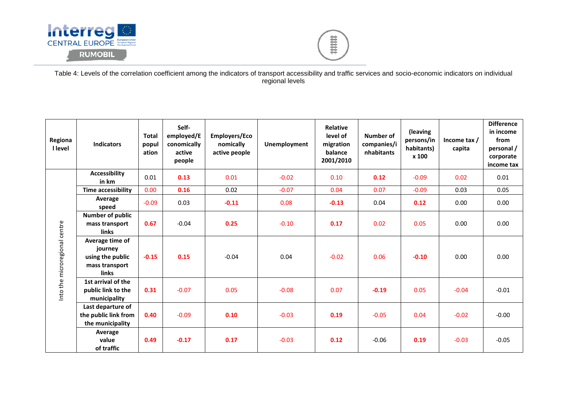



Table 4: Levels of the correlation coefficient among the indicators of transport accessibility and traffic services and socio-economic indicators on individual regional levels

| Regiona<br><b>I</b> level     | <b>Indicators</b>                                                                | <b>Total</b><br>popul<br>ation | Self-<br>employed/E<br>conomically<br>active<br>people | Employers/Eco<br>nomically<br>active people | <b>Unemployment</b> | Relative<br>level of<br>migration<br>balance<br>2001/2010 | <b>Number of</b><br>companies/i<br>nhabitants | (leaving<br>persons/in<br>habitants)<br>x 100 | Income tax $/$<br>capita | <b>Difference</b><br>in income<br>from<br>personal /<br>corporate<br>income tax |
|-------------------------------|----------------------------------------------------------------------------------|--------------------------------|--------------------------------------------------------|---------------------------------------------|---------------------|-----------------------------------------------------------|-----------------------------------------------|-----------------------------------------------|--------------------------|---------------------------------------------------------------------------------|
|                               | <b>Accessibility</b><br>in km                                                    | 0.01                           | 0.13                                                   | 0.01                                        | $-0.02$             | 0.10                                                      | 0.12                                          | $-0.09$                                       | 0.02                     | 0.01                                                                            |
|                               | <b>Time accessibility</b>                                                        | 0.00                           | 0.16                                                   | 0.02                                        | $-0.07$             | 0.04                                                      | 0.07                                          | $-0.09$                                       | 0.03                     | 0.05                                                                            |
|                               | Average<br>speed                                                                 | $-0.09$                        | 0.03                                                   | $-0.11$                                     | 0.08                | $-0.13$                                                   | 0.04                                          | 0.12                                          | 0.00                     | 0.00                                                                            |
|                               | <b>Number of public</b><br>mass transport<br><b>links</b>                        | 0.67                           | $-0.04$                                                | 0.25                                        | $-0.10$             | 0.17                                                      | 0.02                                          | 0.05                                          | 0.00                     | 0.00                                                                            |
| Into the microregional centre | Average time of<br>journey<br>using the public<br>mass transport<br><b>links</b> | $-0.15$                        | 0.15                                                   | $-0.04$                                     | 0.04                | $-0.02$                                                   | 0.06                                          | $-0.10$                                       | 0.00                     | 0.00                                                                            |
|                               | 1st arrival of the<br>public link to the<br>municipality                         | 0.31                           | $-0.07$                                                | 0.05                                        | $-0.08$             | 0.07                                                      | $-0.19$                                       | 0.05                                          | $-0.04$                  | $-0.01$                                                                         |
|                               | Last departure of<br>the public link from<br>the municipality                    | 0.40                           | $-0.09$                                                | 0.10                                        | $-0.03$             | 0.19                                                      | $-0.05$                                       | 0.04                                          | $-0.02$                  | $-0.00$                                                                         |
|                               | Average<br>value<br>of traffic                                                   | 0.49                           | $-0.17$                                                | 0.17                                        | $-0.03$             | 0.12                                                      | $-0.06$                                       | 0.19                                          | $-0.03$                  | $-0.05$                                                                         |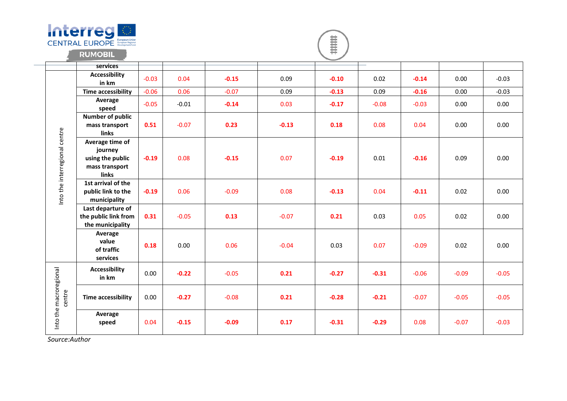

 $\sim$ 

 $\begin{matrix} \mathbf{1} & \mathbf{1} & \mathbf{1} & \mathbf{1} & \mathbf{1} & \mathbf{1} & \mathbf{1} & \mathbf{1} & \mathbf{1} & \mathbf{1} & \mathbf{1} & \mathbf{1} & \mathbf{1} & \mathbf{1} & \mathbf{1} & \mathbf{1} & \mathbf{1} & \mathbf{1} & \mathbf{1} & \mathbf{1} & \mathbf{1} & \mathbf{1} & \mathbf{1} & \mathbf{1} & \mathbf{1} & \mathbf{1} & \mathbf{1} & \mathbf{1} & \mathbf{1} & \mathbf{1} & \mathbf{1$ 

|                                  | services                                                                  |         |         |         |         |         |         |         |         |         |
|----------------------------------|---------------------------------------------------------------------------|---------|---------|---------|---------|---------|---------|---------|---------|---------|
|                                  | <b>Accessibility</b><br>in km                                             | $-0.03$ | 0.04    | $-0.15$ | 0.09    | $-0.10$ | 0.02    | $-0.14$ | 0.00    | $-0.03$ |
|                                  | <b>Time accessibility</b>                                                 | $-0.06$ | 0.06    | $-0.07$ | 0.09    | $-0.13$ | 0.09    | $-0.16$ | 0.00    | $-0.03$ |
|                                  | Average<br>speed                                                          | $-0.05$ | $-0.01$ | $-0.14$ | 0.03    | $-0.17$ | $-0.08$ | $-0.03$ | 0.00    | 0.00    |
|                                  | <b>Number of public</b><br>mass transport<br>links                        | 0.51    | $-0.07$ | 0.23    | $-0.13$ | 0.18    | 0.08    | 0.04    | 0.00    | 0.00    |
| Into the interregional centre    | Average time of<br>journey<br>using the public<br>mass transport<br>links | $-0.19$ | 0.08    | $-0.15$ | 0.07    | $-0.19$ | 0.01    | $-0.16$ | 0.09    | 0.00    |
|                                  | 1st arrival of the<br>public link to the<br>municipality                  | $-0.19$ | 0.06    | $-0.09$ | 0.08    | $-0.13$ | 0.04    | $-0.11$ | 0.02    | 0.00    |
|                                  | Last departure of<br>the public link from<br>the municipality             | 0.31    | $-0.05$ | 0.13    | $-0.07$ | 0.21    | 0.03    | 0.05    | 0.02    | 0.00    |
|                                  | Average<br>value<br>of traffic<br>services                                | 0.18    | 0.00    | 0.06    | $-0.04$ | 0.03    | 0.07    | $-0.09$ | 0.02    | 0.00    |
|                                  | <b>Accessibility</b><br>in km                                             | 0.00    | $-0.22$ | $-0.05$ | 0.21    | $-0.27$ | $-0.31$ | $-0.06$ | $-0.09$ | $-0.05$ |
| Into the macroregional<br>centre | <b>Time accessibility</b>                                                 | 0.00    | $-0.27$ | $-0.08$ | 0.21    | $-0.28$ | $-0.21$ | $-0.07$ | $-0.05$ | $-0.05$ |
|                                  | Average<br>speed                                                          | 0.04    | $-0.15$ | $-0.09$ | 0.17    | $-0.31$ | $-0.29$ | 0.08    | $-0.07$ | $-0.03$ |

*Source:Author*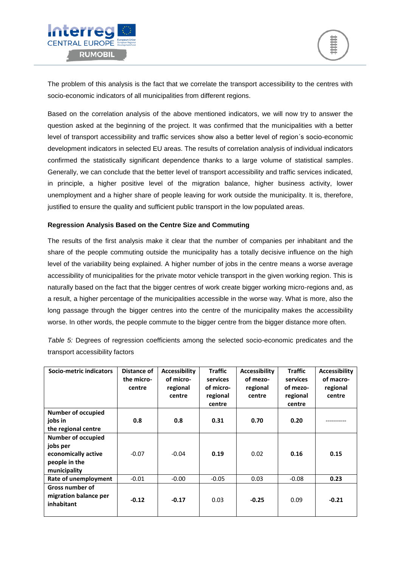



The problem of this analysis is the fact that we correlate the transport accessibility to the centres with socio-economic indicators of all municipalities from different regions.

Based on the correlation analysis of the above mentioned indicators, we will now try to answer the question asked at the beginning of the project. It was confirmed that the municipalities with a better level of transport accessibility and traffic services show also a better level of region´s socio-economic development indicators in selected EU areas. The results of correlation analysis of individual indicators confirmed the statistically significant dependence thanks to a large volume of statistical samples. Generally, we can conclude that the better level of transport accessibility and traffic services indicated, in principle, a higher positive level of the migration balance, higher business activity, lower unemployment and a higher share of people leaving for work outside the municipality. It is, therefore, justified to ensure the quality and sufficient public transport in the low populated areas.

#### **Regression Analysis Based on the Centre Size and Commuting**

The results of the first analysis make it clear that the number of companies per inhabitant and the share of the people commuting outside the municipality has a totally decisive influence on the high level of the variability being explained. A higher number of jobs in the centre means a worse average accessibility of municipalities for the private motor vehicle transport in the given working region. This is naturally based on the fact that the bigger centres of work create bigger working micro-regions and, as a result, a higher percentage of the municipalities accessible in the worse way. What is more, also the long passage through the bigger centres into the centre of the municipality makes the accessibility worse. In other words, the people commute to the bigger centre from the bigger distance more often.

*Table 5:* Degrees of regression coefficients among the selected socio-economic predicates and the transport accessibility factors

| Socio-metric indicators                                                                       | Distance of<br>the micro-<br>centre | <b>Accessibility</b><br>of micro-<br>regional<br>centre | <b>Traffic</b><br><b>services</b><br>of micro-<br>regional<br>centre | <b>Accessibility</b><br>of mezo-<br>regional<br>centre | <b>Traffic</b><br>services<br>of mezo-<br>regional<br>centre | <b>Accessibility</b><br>of macro-<br>regional<br>centre |
|-----------------------------------------------------------------------------------------------|-------------------------------------|---------------------------------------------------------|----------------------------------------------------------------------|--------------------------------------------------------|--------------------------------------------------------------|---------------------------------------------------------|
| <b>Number of occupied</b><br>jobs in<br>the regional centre                                   | 0.8                                 | 0.8                                                     | 0.31                                                                 | 0.70                                                   | 0.20                                                         |                                                         |
| <b>Number of occupied</b><br>jobs per<br>economically active<br>people in the<br>municipality | $-0.07$                             | $-0.04$                                                 | 0.19                                                                 | 0.02                                                   | 0.16                                                         | 0.15                                                    |
| Rate of unemployment                                                                          | $-0.01$                             | $-0.00$                                                 | $-0.05$                                                              | 0.03                                                   | $-0.08$                                                      | 0.23                                                    |
| <b>Gross number of</b><br>migration balance per<br>inhabitant                                 | $-0.12$                             | $-0.17$                                                 | 0.03                                                                 | $-0.25$                                                | 0.09                                                         | $-0.21$                                                 |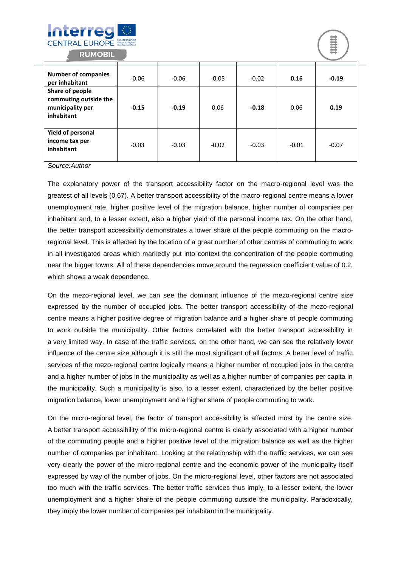



| <b>Number of companies</b><br>per inhabitant                               | $-0.06$ | $-0.06$ | $-0.05$ | $-0.02$ | 0.16    | $-0.19$ |
|----------------------------------------------------------------------------|---------|---------|---------|---------|---------|---------|
| Share of people<br>commuting outside the<br>municipality per<br>inhabitant | $-0.15$ | $-0.19$ | 0.06    | $-0.18$ | 0.06    | 0.19    |
| <b>Yield of personal</b><br>income tax per<br>inhabitant                   | $-0.03$ | $-0.03$ | $-0.02$ | $-0.03$ | $-0.01$ | $-0.07$ |

*Source:Author*

The explanatory power of the transport accessibility factor on the macro-regional level was the greatest of all levels (0.67). A better transport accessibility of the macro-regional centre means a lower unemployment rate, higher positive level of the migration balance, higher number of companies per inhabitant and, to a lesser extent, also a higher yield of the personal income tax. On the other hand, the better transport accessibility demonstrates a lower share of the people commuting on the macroregional level. This is affected by the location of a great number of other centres of commuting to work in all investigated areas which markedly put into context the concentration of the people commuting near the bigger towns. All of these dependencies move around the regression coefficient value of 0.2, which shows a weak dependence.

On the mezo-regional level, we can see the dominant influence of the mezo-regional centre size expressed by the number of occupied jobs. The better transport accessibility of the mezo-regional centre means a higher positive degree of migration balance and a higher share of people commuting to work outside the municipality. Other factors correlated with the better transport accessibility in a very limited way. In case of the traffic services, on the other hand, we can see the relatively lower influence of the centre size although it is still the most significant of all factors. A better level of traffic services of the mezo-regional centre logically means a higher number of occupied jobs in the centre and a higher number of jobs in the municipality as well as a higher number of companies per capita in the municipality. Such a municipality is also, to a lesser extent, characterized by the better positive migration balance, lower unemployment and a higher share of people commuting to work.

On the micro-regional level, the factor of transport accessibility is affected most by the centre size. A better transport accessibility of the micro-regional centre is clearly associated with a higher number of the commuting people and a higher positive level of the migration balance as well as the higher number of companies per inhabitant. Looking at the relationship with the traffic services, we can see very clearly the power of the micro-regional centre and the economic power of the municipality itself expressed by way of the number of jobs. On the micro-regional level, other factors are not associated too much with the traffic services. The better traffic services thus imply, to a lesser extent, the lower unemployment and a higher share of the people commuting outside the municipality. Paradoxically, they imply the lower number of companies per inhabitant in the municipality.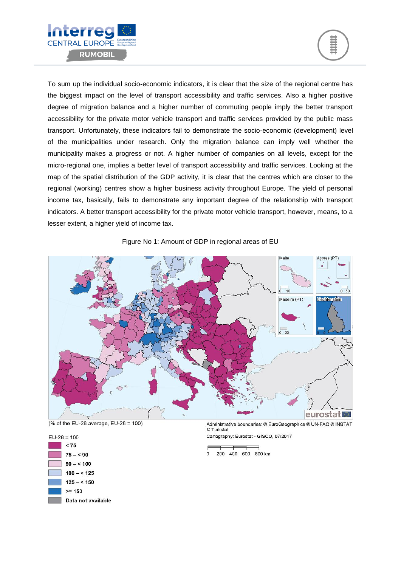



To sum up the individual socio-economic indicators, it is clear that the size of the regional centre has the biggest impact on the level of transport accessibility and traffic services. Also a higher positive degree of migration balance and a higher number of commuting people imply the better transport accessibility for the private motor vehicle transport and traffic services provided by the public mass transport. Unfortunately, these indicators fail to demonstrate the socio-economic (development) level of the municipalities under research. Only the migration balance can imply well whether the municipality makes a progress or not. A higher number of companies on all levels, except for the micro-regional one, implies a better level of transport accessibility and traffic services. Looking at the map of the spatial distribution of the GDP activity, it is clear that the centres which are closer to the regional (working) centres show a higher business activity throughout Europe. The yield of personal income tax, basically, fails to demonstrate any important degree of the relationship with transport indicators. A better transport accessibility for the private motor vehicle transport, however, means, to a lesser extent, a higher yield of income tax.







 $EU-28 = 100$  $< 75$  $75 - 50$  $90 - 5100$  $100 - 5125$  $125 - 5150$  $>= 150$ Data not available

Administrative boundaries: @ EuroGeographics @ UN-FAO @ INSTAT © Turkstat

Cartography: Eurostat - GISCO, 07/2017

<sup>200 400 600 800</sup> km  $\mathbf 0$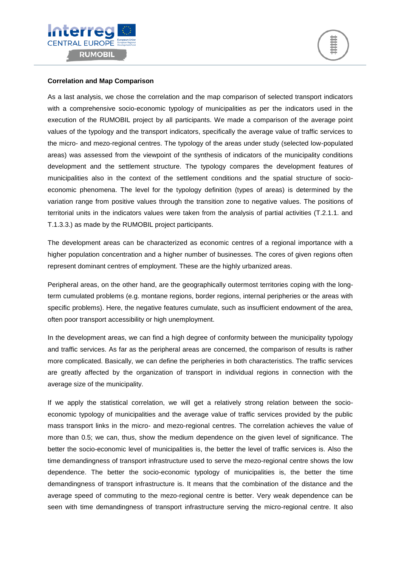



#### **Correlation and Map Comparison**

As a last analysis, we chose the correlation and the map comparison of selected transport indicators with a comprehensive socio-economic typology of municipalities as per the indicators used in the execution of the RUMOBIL project by all participants. We made a comparison of the average point values of the typology and the transport indicators, specifically the average value of traffic services to the micro- and mezo-regional centres. The typology of the areas under study (selected low-populated areas) was assessed from the viewpoint of the synthesis of indicators of the municipality conditions development and the settlement structure. The typology compares the development features of municipalities also in the context of the settlement conditions and the spatial structure of socioeconomic phenomena. The level for the typology definition (types of areas) is determined by the variation range from positive values through the transition zone to negative values. The positions of territorial units in the indicators values were taken from the analysis of partial activities (T.2.1.1. and T.1.3.3.) as made by the RUMOBIL project participants.

The development areas can be characterized as economic centres of a regional importance with a higher population concentration and a higher number of businesses. The cores of given regions often represent dominant centres of employment. These are the highly urbanized areas.

Peripheral areas, on the other hand, are the geographically outermost territories coping with the longterm cumulated problems (e.g. montane regions, border regions, internal peripheries or the areas with specific problems). Here, the negative features cumulate, such as insufficient endowment of the area, often poor transport accessibility or high unemployment.

In the development areas, we can find a high degree of conformity between the municipality typology and traffic services. As far as the peripheral areas are concerned, the comparison of results is rather more complicated. Basically, we can define the peripheries in both characteristics. The traffic services are greatly affected by the organization of transport in individual regions in connection with the average size of the municipality.

If we apply the statistical correlation, we will get a relatively strong relation between the socioeconomic typology of municipalities and the average value of traffic services provided by the public mass transport links in the micro- and mezo-regional centres. The correlation achieves the value of more than 0.5; we can, thus, show the medium dependence on the given level of significance. The better the socio-economic level of municipalities is, the better the level of traffic services is. Also the time demandingness of transport infrastructure used to serve the mezo-regional centre shows the low dependence. The better the socio-economic typology of municipalities is, the better the time demandingness of transport infrastructure is. It means that the combination of the distance and the average speed of commuting to the mezo-regional centre is better. Very weak dependence can be seen with time demandingness of transport infrastructure serving the micro-regional centre. It also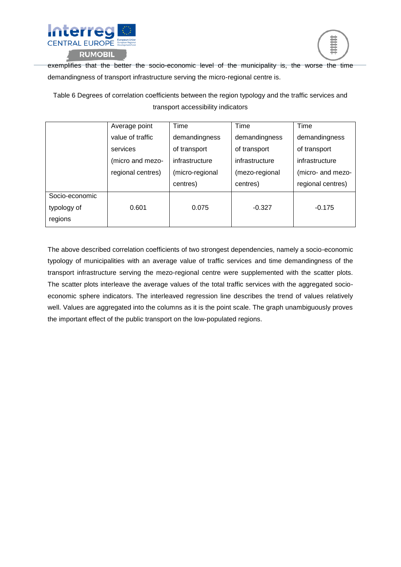



exemplifies that the better the socio-economic level of the municipality is, the worse the time demandingness of transport infrastructure serving the micro-regional centre is.

Table 6 Degrees of correlation coefficients between the region typology and the traffic services and transport accessibility indicators

|                | Average point     | Time            | Time           | Time              |
|----------------|-------------------|-----------------|----------------|-------------------|
|                | value of traffic  | demandingness   | demandingness  | demandingness     |
|                | services          | of transport    | of transport   | of transport      |
|                | (micro and mezo-  | infrastructure  | infrastructure | infrastructure    |
|                | regional centres) | (micro-regional | (mezo-regional | (micro- and mezo- |
|                |                   | centres)        | centres)       | regional centres) |
| Socio-economic |                   |                 |                |                   |
| typology of    | 0.601             | 0.075           | $-0.327$       | $-0.175$          |
| regions        |                   |                 |                |                   |

The above described correlation coefficients of two strongest dependencies, namely a socio-economic typology of municipalities with an average value of traffic services and time demandingness of the transport infrastructure serving the mezo-regional centre were supplemented with the scatter plots. The scatter plots interleave the average values of the total traffic services with the aggregated socioeconomic sphere indicators. The interleaved regression line describes the trend of values relatively well. Values are aggregated into the columns as it is the point scale. The graph unambiguously proves the important effect of the public transport on the low-populated regions.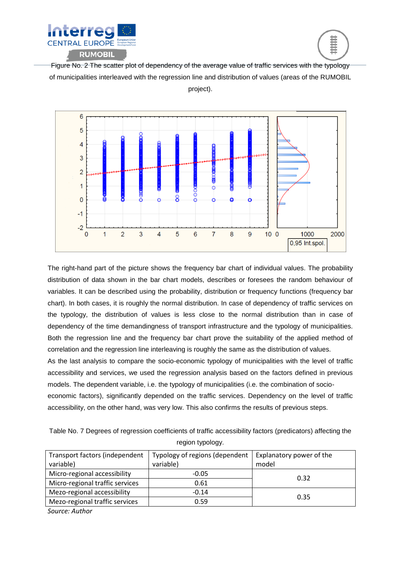



Figure No. 2 The scatter plot of dependency of the average value of traffic services with the typology of municipalities interleaved with the regression line and distribution of values (areas of the RUMOBIL project).



The right-hand part of the picture shows the frequency bar chart of individual values. The probability distribution of data shown in the bar chart models, describes or foresees the random behaviour of variables. It can be described using the probability, distribution or frequency functions (frequency bar chart). In both cases, it is roughly the normal distribution. In case of dependency of traffic services on the typology, the distribution of values is less close to the normal distribution than in case of dependency of the time demandingness of transport infrastructure and the typology of municipalities. Both the regression line and the frequency bar chart prove the suitability of the applied method of correlation and the regression line interleaving is roughly the same as the distribution of values.

As the last analysis to compare the socio-economic typology of municipalities with the level of traffic accessibility and services, we used the regression analysis based on the factors defined in previous models. The dependent variable, i.e. the typology of municipalities (i.e. the combination of socio-

economic factors), significantly depended on the traffic services. Dependency on the level of traffic accessibility, on the other hand, was very low. This also confirms the results of previous steps.

Table No. 7 Degrees of regression coefficients of traffic accessibility factors (predicators) affecting the region typology.

| Transport factors (independent  | Typology of regions (dependent | Explanatory power of the |  |  |
|---------------------------------|--------------------------------|--------------------------|--|--|
| variable)                       | variable)                      | model                    |  |  |
| Micro-regional accessibility    | $-0.05$                        | 0.32                     |  |  |
| Micro-regional traffic services | 0.61                           |                          |  |  |
| Mezo-regional accessibility     | $-0.14$                        |                          |  |  |
| Mezo-regional traffic services  | 0.59                           | 0.35                     |  |  |

*Source: Author*